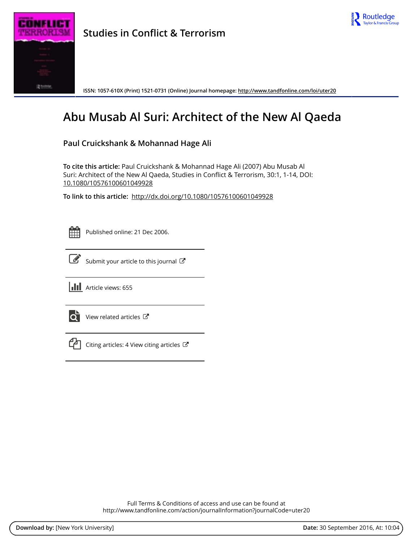



**Studies in Conflict & Terrorism**

**ISSN: 1057-610X (Print) 1521-0731 (Online) Journal homepage: <http://www.tandfonline.com/loi/uter20>**

# **Abu Musab Al Suri: Architect of the New Al Qaeda**

## **Paul Cruickshank & Mohannad Hage Ali**

**To cite this article:** Paul Cruickshank & Mohannad Hage Ali (2007) Abu Musab Al Suri: Architect of the New Al Qaeda, Studies in Conflict & Terrorism, 30:1, 1-14, DOI: [10.1080/10576100601049928](http://www.tandfonline.com/action/showCitFormats?doi=10.1080/10576100601049928)

**To link to this article:** <http://dx.doi.org/10.1080/10576100601049928>



Published online: 21 Dec 2006.



 $\overrightarrow{S}$  [Submit your article to this journal](http://www.tandfonline.com/action/authorSubmission?journalCode=uter20&show=instructions)  $G$ 





 $\overline{Q}$  [View related articles](http://www.tandfonline.com/doi/mlt/10.1080/10576100601049928)  $\overline{C}$ 



 $\Box$  [Citing articles: 4 View citing articles](http://www.tandfonline.com/doi/citedby/10.1080/10576100601049928#tabModule)  $\Box$ 

Full Terms & Conditions of access and use can be found at <http://www.tandfonline.com/action/journalInformation?journalCode=uter20>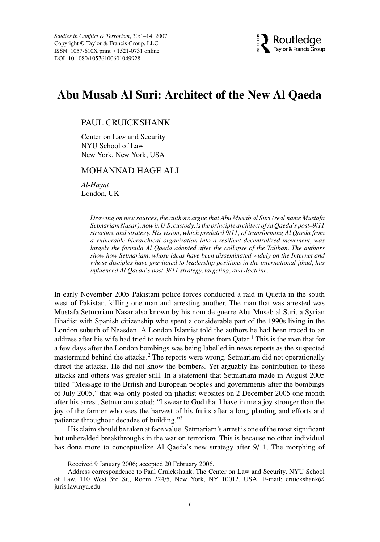*Studies in Conflict & Terrorism*, 30:1–14, 2007 Copyright © Taylor & Francis Group, LLC ISSN: 1057-610X print / 1521-0731 online DOI: 10.1080/10576100601049928



## **Abu Musab Al Suri: Architect of the New Al Qaeda**

#### PAUL CRUICKSHANK

Center on Law and Security NYU School of Law New York, New York, USA

### MOHANNAD HAGE ALI

*Al-Hayat* London, UK

> *Drawing on new sources, the authors argue that Abu Musab al Suri (real name Mustafa Setmariam Nasar), now in U.S. custody, is the principle architect of Al Qaeda's post–9/11 structure and strategy. His vision, which predated 9/11, of transforming Al Qaeda from a vulnerable hierarchical organization into a resilient decentralized movement, was largely the formula Al Qaeda adopted after the collapse of the Taliban. The authors show how Setmariam, whose ideas have been disseminated widely on the Internet and whose disciples have gravitated to leadership positions in the international jihad, has influenced Al Qaeda's post–9/11 strategy, targeting, and doctrine.*

In early November 2005 Pakistani police forces conducted a raid in Quetta in the south west of Pakistan, killing one man and arresting another. The man that was arrested was Mustafa Setmariam Nasar also known by his nom de guerre Abu Musab al Suri, a Syrian Jihadist with Spanish citizenship who spent a considerable part of the 1990s living in the London suburb of Neasden. A London Islamist told the authors he had been traced to an address after his wife had tried to reach him by phone from  $Qatar<sup>1</sup>$ . This is the man that for a few days after the London bombings was being labelled in news reports as the suspected mastermind behind the attacks.<sup>2</sup> The reports were wrong. Setmariam did not operationally direct the attacks. He did not know the bombers. Yet arguably his contribution to these attacks and others was greater still. In a statement that Setmariam made in August 2005 titled "Message to the British and European peoples and governments after the bombings of July 2005," that was only posted on jihadist websites on 2 December 2005 one month after his arrest, Setmariam stated: "I swear to God that I have in me a joy stronger than the joy of the farmer who sees the harvest of his fruits after a long planting and efforts and patience throughout decades of building."<sup>3</sup>

His claim should be taken at face value. Setmariam's arrest is one of the most significant but unheralded breakthroughs in the war on terrorism. This is because no other individual has done more to conceptualize Al Qaeda's new strategy after 9/11. The morphing of

Received 9 January 2006; accepted 20 February 2006.

Address correspondence to Paul Cruickshank, The Center on Law and Security, NYU School of Law, 110 West 3rd St., Room 224/5, New York, NY 10012, USA. E-mail: cruickshank@ juris.law.nyu.edu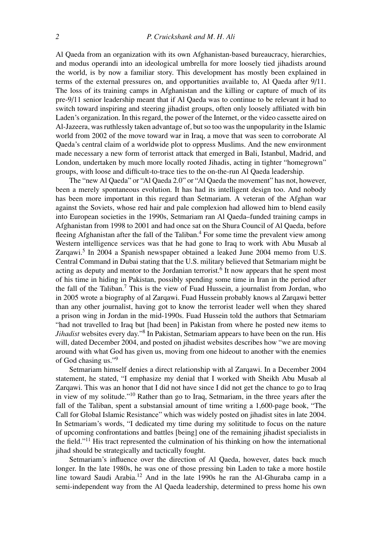Al Qaeda from an organization with its own Afghanistan-based bureaucracy, hierarchies, and modus operandi into an ideological umbrella for more loosely tied jihadists around the world, is by now a familiar story. This development has mostly been explained in terms of the external pressures on, and opportunities available to, Al Qaeda after 9/11. The loss of its training camps in Afghanistan and the killing or capture of much of its pre-9/11 senior leadership meant that if Al Qaeda was to continue to be relevant it had to switch toward inspiring and steering jihadist groups, often only loosely affiliated with bin Laden's organization. In this regard, the power of the Internet, or the video cassette aired on Al-Jazeera, was ruthlessly taken advantage of, but so too was the unpopularity in the Islamic world from 2002 of the move toward war in Iraq, a move that was seen to corroborate Al Qaeda's central claim of a worldwide plot to oppress Muslims. And the new environment made necessary a new form of terrorist attack that emerged in Bali, Istanbul, Madrid, and London, undertaken by much more locally rooted Jihadis, acting in tighter "homegrown" groups, with loose and difficult-to-trace ties to the on-the-run Al Qaeda leadership.

The "new Al Qaeda" or "Al Qaeda 2.0" or "Al Qaeda the movement" has not, however, been a merely spontaneous evolution. It has had its intelligent design too. And nobody has been more important in this regard than Setmariam. A veteran of the Afghan war against the Soviets, whose red hair and pale complexion had allowed him to blend easily into European societies in the 1990s, Setmariam ran Al Qaeda–funded training camps in Afghanistan from 1998 to 2001 and had once sat on the Shura Council of Al Qaeda, before fleeing Afghanistan after the fall of the Taliban.<sup>4</sup> For some time the prevalent view among Western intelligence services was that he had gone to Iraq to work with Abu Musab al Zarqawi.<sup>5</sup> In 2004 a Spanish newspaper obtained a leaked June 2004 memo from U.S. Central Command in Dubai stating that the U.S. military believed that Setmariam might be acting as deputy and mentor to the Jordanian terrorist.<sup>6</sup> It now appears that he spent most of his time in hiding in Pakistan, possibly spending some time in Iran in the period after the fall of the Taliban.<sup>7</sup> This is the view of Fuad Hussein, a journalist from Jordan, who in 2005 wrote a biography of al Zarqawi. Fuad Hussein probably knows al Zarqawi better than any other journalist, having got to know the terrorist leader well when they shared a prison wing in Jordan in the mid-1990s. Fuad Hussein told the authors that Setmariam "had not travelled to Iraq but [had been] in Pakistan from where he posted new items to *Jihadist* websites every day."8 In Pakistan, Setmariam appears to have been on the run. His will, dated December 2004, and posted on jihadist websites describes how "we are moving around with what God has given us, moving from one hideout to another with the enemies of God chasing us."<sup>9</sup>

Setmariam himself denies a direct relationship with al Zarqawi. In a December 2004 statement, he stated, "I emphasize my denial that I worked with Sheikh Abu Musab al Zarqawi. This was an honor that I did not have since I did not get the chance to go to Iraq in view of my solitude."<sup>10</sup> Rather than go to Iraq, Setmariam, in the three years after the fall of the Taliban, spent a substansial amount of time writing a 1,600-page book, "The Call for Global Islamic Resistance" which was widely posted on jihadist sites in late 2004. In Setmariam's words, "I dedicated my time during my solititude to focus on the nature of upcoming confrontations and battles [being] one of the remaining jihadist specialists in the field."<sup>11</sup> His tract represented the culmination of his thinking on how the international jihad should be strategically and tactically fought.

Setmariam's influence over the direction of Al Qaeda, however, dates back much longer. In the late 1980s, he was one of those pressing bin Laden to take a more hostile line toward Saudi Arabia.<sup>12</sup> And in the late 1990s he ran the Al-Ghuraba camp in a semi-independent way from the Al Qaeda leadership, determined to press home his own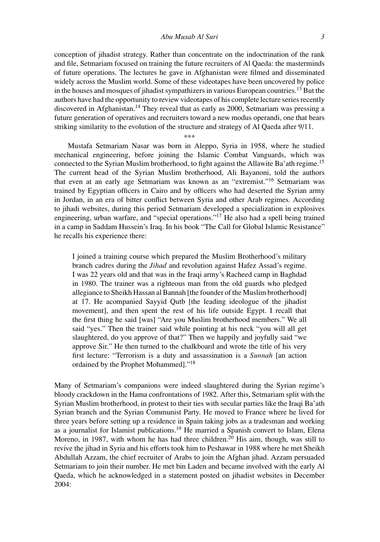conception of jihadist strategy. Rather than concentrate on the indoctrination of the rank and file, Setmariam focused on training the future recruiters of Al Qaeda: the masterminds of future operations. The lectures he gave in Afghanistan were filmed and disseminated widely across the Muslim world. Some of these videotapes have been uncovered by police in the houses and mosques of jihadist sympathizers in various European countries.<sup>13</sup> But the authors have had the opportunity to review videotapes of his complete lecture series recently discovered in Afghanistan.<sup>14</sup> They reveal that as early as 2000, Setmariam was pressing a future generation of operatives and recruiters toward a new modus operandi, one that bears striking similarity to the evolution of the structure and strategy of Al Qaeda after 9/11.

\*\*\*

Mustafa Setmariam Nasar was born in Aleppo, Syria in 1958, where he studied mechanical engineering, before joining the Islamic Combat Vanguards, which was connected to the Syrian Muslim brotherhood, to fight against the Allawite Ba'ath regime.<sup>15</sup> The current head of the Syrian Muslim brotherhood, Ali Bayanoni, told the authors that even at an early age Setmariam was known as an "extremist."<sup>16</sup> Setmariam was trained by Egyptian officers in Cairo and by officers who had deserted the Syrian army in Jordan, in an era of bitter conflict between Syria and other Arab regimes. According to jihadi websites, during this period Setmariam developed a specialization in explosives engineering, urban warfare, and "special operations."<sup>17</sup> He also had a spell being trained in a camp in Saddam Hussein's Iraq. In his book "The Call for Global Islamic Resistance" he recalls his experience there:

I joined a training course which prepared the Muslim Brotherhood's military branch cadres during the *Jihad* and revolution against Hafez Assad's regime. I was 22 years old and that was in the Iraqi army's Racheed camp in Baghdad in 1980. The trainer was a righteous man from the old guards who pledged allegiance to Sheikh Hassan al Bannah [the founder of the Muslim brotherhood] at 17. He acompanied Sayyid Qutb [the leading ideologue of the jihadist movement], and then spent the rest of his life outside Egypt. I recall that the first thing he said [was] "Are you Muslim brotherhood members." We all said "yes." Then the trainer said while pointing at his neck "you will all get slaughtered, do you approve of that?" Then we happily and joyfully said "we approve Sir." He then turned to the chalkboard and wrote the title of his very first lecture: "Terrorism is a duty and assassination is a *Sunnah* [an action ordained by the Prophet Mohammed]."<sup>18</sup>

Many of Setmariam's companions were indeed slaughtered during the Syrian regime's bloody crackdown in the Hama confrontations of 1982. After this, Setmariam split with the Syrian Muslim brotherhood, in protest to their ties with secular parties like the Iraqi Ba'ath Syrian branch and the Syrian Communist Party. He moved to France where he lived for three years before setting up a residence in Spain taking jobs as a tradesman and working as a journalist for Islamist publications.<sup>19</sup> He married a Spanish convert to Islam, Elena Moreno, in 1987, with whom he has had three children.<sup>20</sup> His aim, though, was still to revive the jihad in Syria and his efforts took him to Peshawar in 1988 where he met Sheikh Abdullah Azzam, the chief recruiter of Arabs to join the Afghan jihad. Azzam persuaded Setmariam to join their number. He met bin Laden and became involved with the early Al Qaeda, which he acknowledged in a statement posted on jihadist websites in December 2004: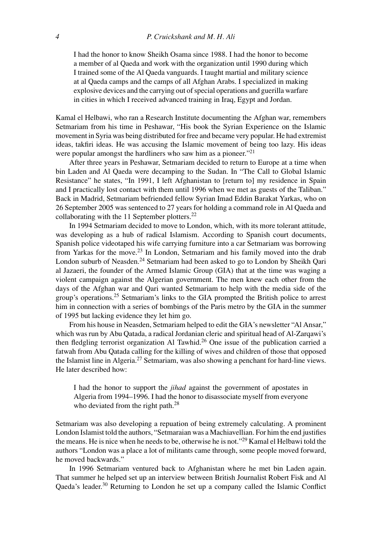I had the honor to know Sheikh Osama since 1988. I had the honor to become a member of al Qaeda and work with the organization until 1990 during which I trained some of the Al Qaeda vanguards. I taught martial and military science at al Qaeda camps and the camps of all Afghan Arabs. I specialized in making explosive devices and the carrying out of special operations and guerilla warfare in cities in which I received advanced training in Iraq, Egypt and Jordan.

Kamal el Helbawi, who ran a Research Institute documenting the Afghan war, remembers Setmariam from his time in Peshawar, "His book the Syrian Experience on the Islamic movement in Syria was being distributed for free and became very popular. He had extremist ideas, takfiri ideas. He was accusing the Islamic movement of being too lazy. His ideas were popular amongst the hardliners who saw him as a pioneer.<sup> $21$ </sup>

After three years in Peshawar, Setmariam decided to return to Europe at a time when bin Laden and Al Qaeda were decamping to the Sudan. In "The Call to Global Islamic Resistance" he states, "In 1991, I left Afghanistan to [return to] my residence in Spain and I practically lost contact with them until 1996 when we met as guests of the Taliban." Back in Madrid, Setmariam befriended fellow Syrian Imad Eddin Barakat Yarkas, who on 26 September 2005 was sentenced to 27 years for holding a command role in Al Qaeda and collaborating with the 11 September plotters. $^{22}$ 

In 1994 Setmariam decided to move to London, which, with its more tolerant attitude, was developing as a hub of radical Islamism. According to Spanish court documents, Spanish police videotaped his wife carrying furniture into a car Setmariam was borrowing from Yarkas for the move.<sup>23</sup> In London, Setmariam and his family moved into the drab London suburb of Neasden.<sup>24</sup> Setmariam had been asked to go to London by Sheikh Qari al Jazaeri, the founder of the Armed Islamic Group (GIA) that at the time was waging a violent campaign against the Algerian government. The men knew each other from the days of the Afghan war and Qari wanted Setmariam to help with the media side of the group's operations.<sup>25</sup> Setmariam's links to the GIA prompted the British police to arrest him in connection with a series of bombings of the Paris metro by the GIA in the summer of 1995 but lacking evidence they let him go.

From his house in Neasden, Setmariam helped to edit the GIA's newsletter "Al Ansar," which was run by Abu Qatada, a radical Jordanian cleric and spiritual head of Al-Zarqawi's then fledgling terrorist organization Al Tawhid.<sup>26</sup> One issue of the publication carried a fatwah from Abu Qatada calling for the killing of wives and children of those that opposed the Islamist line in Algeria.<sup>27</sup> Setmariam, was also showing a penchant for hard-line views. He later described how:

I had the honor to support the *jihad* against the government of apostates in Algeria from 1994–1996. I had the honor to disassociate myself from everyone who deviated from the right path.<sup>28</sup>

Setmariam was also developing a repuation of being extremely calculating. A prominent London Islamist told the authors, "Setmaraian was a Machiavellian. For him the end justifies the means. He is nice when he needs to be, otherwise he is not."<sup>29</sup> Kamal el Helbawi told the authors "London was a place a lot of militants came through, some people moved forward, he moved backwards."

In 1996 Setmariam ventured back to Afghanistan where he met bin Laden again. That summer he helped set up an interview between British Journalist Robert Fisk and Al Oaeda's leader.<sup>30</sup> Returning to London he set up a company called the Islamic Conflict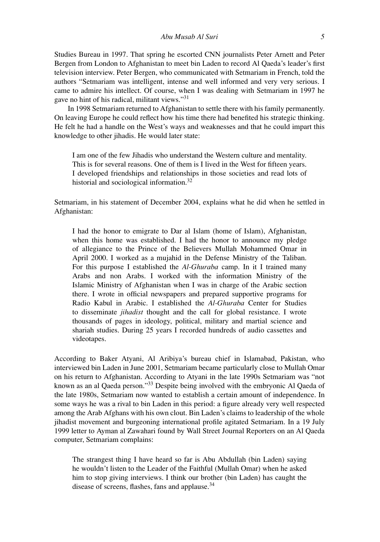Studies Bureau in 1997. That spring he escorted CNN journalists Peter Arnett and Peter Bergen from London to Afghanistan to meet bin Laden to record Al Qaeda's leader's first television interview. Peter Bergen, who communicated with Setmariam in French, told the authors "Setmariam was intelligent, intense and well informed and very very serious. I came to admire his intellect. Of course, when I was dealing with Setmariam in 1997 he gave no hint of his radical, militant views."31

In 1998 Setmariam returned to Afghanistan to settle there with his family permanently. On leaving Europe he could reflect how his time there had benefited his strategic thinking. He felt he had a handle on the West's ways and weaknesses and that he could impart this knowledge to other jihadis. He would later state:

I am one of the few Jihadis who understand the Western culture and mentality. This is for several reasons. One of them is I lived in the West for fifteen years. I developed friendships and relationships in those societies and read lots of historial and sociological information.<sup>32</sup>

Setmariam, in his statement of December 2004, explains what he did when he settled in Afghanistan:

I had the honor to emigrate to Dar al Islam (home of Islam), Afghanistan, when this home was established. I had the honor to announce my pledge of allegiance to the Prince of the Believers Mullah Mohammed Omar in April 2000. I worked as a mujahid in the Defense Ministry of the Taliban. For this purpose I established the *Al-Ghuraba* camp. In it I trained many Arabs and non Arabs. I worked with the information Ministry of the Islamic Ministry of Afghanistan when I was in charge of the Arabic section there. I wrote in official newspapers and prepared supportive programs for Radio Kabul in Arabic. I established the *Al-Ghuraba* Center for Studies to disseminate *jihadist* thought and the call for global resistance. I wrote thousands of pages in ideology, political, military and martial science and shariah studies. During 25 years I recorded hundreds of audio cassettes and videotapes.

According to Baker Atyani, Al Aribiya's bureau chief in Islamabad, Pakistan, who interviewed bin Laden in June 2001, Setmariam became particularly close to Mullah Omar on his return to Afghanistan. According to Atyani in the late 1990s Setmariam was "not known as an al Qaeda person."33 Despite being involved with the embryonic Al Qaeda of the late 1980s, Setmariam now wanted to establish a certain amount of independence. In some ways he was a rival to bin Laden in this period: a figure already very well respected among the Arab Afghans with his own clout. Bin Laden's claims to leadership of the whole jihadist movement and burgeoning international profile agitated Setmariam. In a 19 July 1999 letter to Ayman al Zawahari found by Wall Street Journal Reporters on an Al Qaeda computer, Setmariam complains:

The strangest thing I have heard so far is Abu Abdullah (bin Laden) saying he wouldn't listen to the Leader of the Faithful (Mullah Omar) when he asked him to stop giving interviews. I think our brother (bin Laden) has caught the disease of screens, flashes, fans and applause.<sup>34</sup>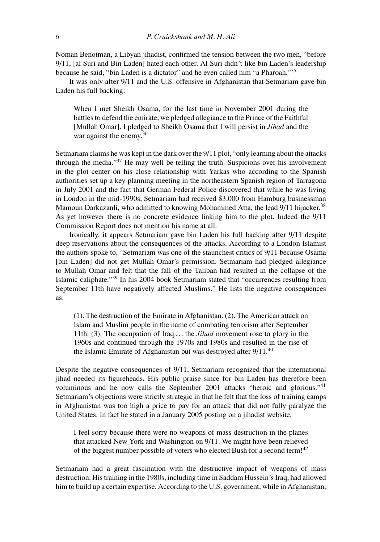Noman Benotman, a Libyan jihadist, confirmed the tension between the two men, "before 9/11, [al Suri and Bin Laden] hated each other. Al Suri didn't like bin Laden's leadership because he said, "bin Laden is a dictator" and he even called him "a Pharoah."<sup>35</sup>

It was only after 9/11 and the U.S. offensive in Afghanistan that Setmariam gave bin Laden his full backing:

When I met Sheikh Osama, for the last time in November 2001 during the battles to defend the emirate, we pledged allegiance to the Prince of the Faithful [Mullah Omar]. I pledged to Sheikh Osama that I will persist in *Jihad* and the war against the enemy.<sup>36</sup>

Setmariam claims he was kept in the dark over the 9/11 plot, "only learning about the attacks through the media." $37$  He may well be telling the truth. Suspicions over his involvement in the plot center on his close relationship with Yarkas who according to the Spanish authorities set up a key planning meeting in the northeastern Spanish region of Tarragona in July 2001 and the fact that German Federal Police discovered that while he was living in London in the mid-1990s, Setmariam had received \$3,000 from Hamburg businessman Mamoun Darkazanli, who admitted to knowing Mohammed Atta, the lead 9/11 hijacker.<sup>38</sup> As yet however there is no concrete evidence linking him to the plot. Indeed the 9/11 Commission Report does not mention his name at all.

Ironically, it appears Setmariam gave bin Laden his full backing after 9/11 despite deep reservations about the consequences of the attacks. According to a London Islamist the authors spoke to, "Setmariam was one of the staunchest critics of 9/11 because Osama [bin Laden] did not get Mullah Omar's permission. Setmariam had pledged allegiance to Mullah Omar and felt that the fall of the Taliban had resulted in the collapse of the Islamic caliphate."39 In his 2004 book Setmariam stated that "occurrences resulting from September 11th have negatively affected Muslims." He lists the negative consequences as:

(1). The destruction of the Emirate in Afghanistan. (2). The American attack on Islam and Muslim people in the name of combating terrorism after September 11th. (3). The occupation of Iraq *...* the *Jihad* movement rose to glory in the 1960s and continued through the 1970s and 1980s and resulted in the rise of the Islamic Emirate of Afghanistan but was destroyed after 9/11.<sup>40</sup>

Despite the negative consequences of 9/11, Setmariam recognized that the international jihad needed its figureheads. His public praise since for bin Laden has therefore been voluminous and he now calls the September 2001 attacks "heroic and glorious."41 Setmariam's objections were strictly strategic in that he felt that the loss of training camps in Afghanistan was too high a price to pay for an attack that did not fully paralyze the United States. In fact he stated in a January 2005 posting on a jihadist website,

I feel sorry because there were no weapons of mass destruction in the planes that attacked New York and Washington on 9/11. We might have been relieved of the biggest number possible of voters who elected Bush for a second term!<sup>42</sup>

Setmariam had a great fascination with the destructive impact of weapons of mass destruction. His training in the 1980s, including time in Saddam Hussein's Iraq, had allowed him to build up a certain expertise. According to the U.S. government, while in Afghanistan,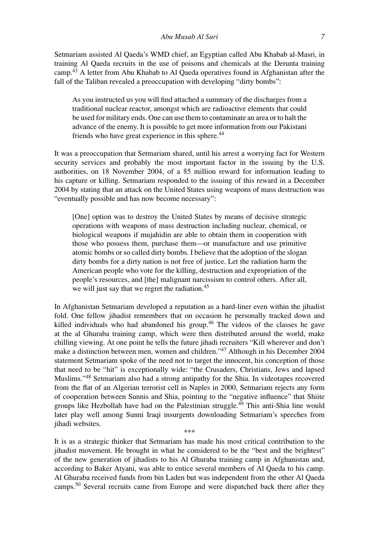Setmariam assisted Al Qaeda's WMD chief, an Egyptian called Abu Khabab al-Masri, in training Al Qaeda recruits in the use of poisons and chemicals at the Derunta training camp.<sup>43</sup> A letter from Abu Khabab to Al Qaeda operatives found in Afghanistan after the fall of the Taliban revealed a preoccupation with developing "dirty bombs":

As you instructed us you will find attached a summary of the discharges from a traditional nuclear reactor, amongst which are radioactive elements that could be used for military ends. One can use them to contaminate an area or to halt the advance of the enemy. It is possible to get more information from our Pakistani friends who have great experience in this sphere.<sup>44</sup>

It was a preoccupation that Setmariam shared, until his arrest a worrying fact for Western security services and probably the most important factor in the issuing by the U.S. authorities, on 18 November 2004, of a \$5 million reward for information leading to his capture or killing. Setmariam responded to the issuing of this reward in a December 2004 by stating that an attack on the United States using weapons of mass destruction was "eventually possible and has now become necessary":

[One] option was to destroy the United States by means of decisive strategic operations with weapons of mass destruction including nuclear, chemical, or biological weapons if mujahidin are able to obtain them in cooperation with those who possess them, purchase them—or manufacture and use primitive atomic bombs or so called dirty bombs. I believe that the adoption of the slogan dirty bombs for a dirty nation is not free of justice. Let the radiation harm the American people who vote for the killing, destruction and expropriation of the people's resources, and [the] malignant narcissism to control others. After all, we will just say that we regret the radiation.<sup>45</sup>

In Afghanistan Setmariam developed a reputation as a hard-liner even within the jihadist fold. One fellow jihadist remembers that on occasion he personally tracked down and killed individuals who had abandoned his group.<sup>46</sup> The videos of the classes he gave at the al Ghuraba training camp, which were then distributed around the world, make chilling viewing. At one point he tells the future jihadi recruiters "Kill wherever and don't make a distinction between men, women and children."<sup>47</sup> Although in his December 2004 statement Setmariam spoke of the need not to target the innocent, his conception of those that need to be "hit" is exceptionally wide: "the Crusaders, Christians, Jews and lapsed Muslims."48 Setmariam also had a strong antipathy for the Shia. In videotapes recovered from the flat of an Algerian terrorist cell in Naples in 2000, Setmariam rejects any form of cooperation between Sunnis and Shia, pointing to the "negative influence" that Shiite groups like Hezbollah have had on the Palestinian struggle.<sup>49</sup> This anti-Shia line would later play well among Sunni Iraqi insurgents downloading Setmariam's speeches from jihadi websites.

It is as a strategic thinker that Setmariam has made his most critical contribution to the jihadist movement. He brought in what he considered to be the "best and the brightest" of the new generation of jihadists to his Al Ghuraba training camp in Afghanistan and, according to Baker Atyani, was able to entice several members of Al Qaeda to his camp. Al Ghuraba received funds from bin Laden but was independent from the other Al Qaeda camps.<sup>50</sup> Several recruits came from Europe and were dispatched back there after they

\*\*\*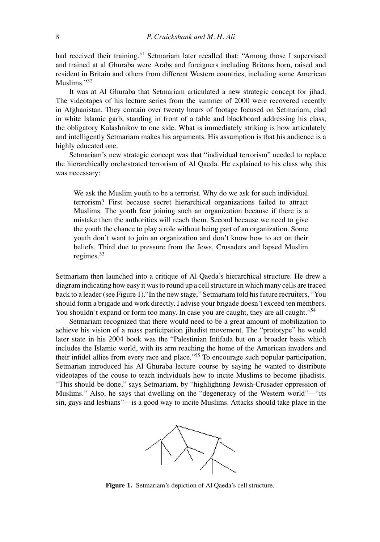had received their training.<sup>51</sup> Setmariam later recalled that: "Among those I supervised and trained at al Ghuraba were Arabs and foreigners including Britons born, raised and resident in Britain and others from different Western countries, including some American Muslims."<sup>52</sup>

It was at Al Ghuraba that Setmariam articulated a new strategic concept for jihad. The videotapes of his lecture series from the summer of 2000 were recovered recently in Afghanistan. They contain over twenty hours of footage focused on Setmariam, clad in white Islamic garb, standing in front of a table and blackboard addressing his class, the obligatory Kalashnikov to one side. What is immediately striking is how articulately and intelligently Setmariam makes his arguments. His assumption is that his audience is a highly educated one.

Setmariam's new strategic concept was that "individual terrorism" needed to replace the hierarchically orchestrated terrorism of Al Qaeda. He explained to his class why this was necessary:

We ask the Muslim youth to be a terrorist. Why do we ask for such individual terrorism? First because secret hierarchical organizations failed to attract Muslims. The youth fear joining such an organization because if there is a mistake then the authorities will reach them. Second because we need to give the youth the chance to play a role without being part of an organization. Some youth don't want to join an organization and don't know how to act on their beliefs. Third due to pressure from the Jews, Crusaders and lapsed Muslim regimes.53

Setmariam then launched into a critique of Al Qaeda's hierarchical structure. He drew a diagram indicating how easy it was to round up a cell structure in which many cells are traced back to a leader (see Figure 1)."In the new stage," Setmariam told his future recruiters, "You should form a brigade and work directly. I advise your brigade doesn't exceed ten members. You shouldn't expand or form too many. In case you are caught, they are all caught."<sup>54</sup>

Setmariam recognized that there would need to be a great amount of mobilization to achieve his vision of a mass participation jihadist movement. The "prototype" he would later state in his 2004 book was the "Palestinian Intifada but on a broader basis which includes the Islamic world, with its arm reaching the home of the American invaders and their infidel allies from every race and place."<sup>55</sup> To encourage such popular participation, Setmarian introduced his Al Ghuraba lecture course by saying he wanted to distribute videotapes of the couse to teach individuals how to incite Muslims to become jihadists. "This should be done," says Setmariam, by "highlighting Jewish-Crusader oppression of Muslims." Also, he says that dwelling on the "degeneracy of the Western world"—"its sin, gays and lesbians"—is a good way to incite Muslims. Attacks should take place in the



**Figure 1.** Setmariam's depiction of Al Qaeda's cell structure.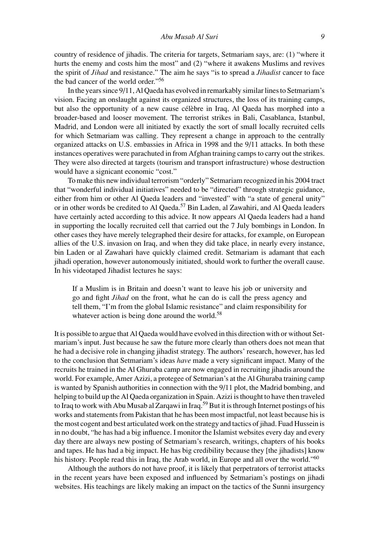country of residence of jihadis. The criteria for targets, Setmariam says, are: (1) "where it hurts the enemy and costs him the most" and (2) "where it awakens Muslims and revives the spirit of *Jihad* and resistance." The aim he says "is to spread a *Jihadist* cancer to face the bad cancer of the world order."56

In the years since 9/11, Al Qaeda has evolved in remarkably similar lines to Setmariam's vision. Facing an onslaught against its organized structures, the loss of its training camps, but also the opportunity of a new cause célèbre in Iraq, Al Qaeda has morphed into a broader-based and looser movement. The terrorist strikes in Bali, Casablanca, Istanbul, Madrid, and London were all initiated by exactly the sort of small locally recruited cells for which Setmariam was calling. They represent a change in approach to the centrally organized attacks on U.S. embassies in Africa in 1998 and the 9/11 attacks. In both these instances operatives were parachuted in from Afghan training camps to carry out the strikes. They were also directed at targets (tourism and transport infrastructure) whose destruction would have a signicant economic "cost."

To make this new individual terrorism "orderly" Setmariam recognized in his 2004 tract that "wonderful individual initiatives" needed to be "directed" through strategic guidance, either from him or other Al Qaeda leaders and "invested" with "a state of general unity" or in other words be credited to Al Qaeda.<sup>57</sup> Bin Laden, al Zawahiri, and Al Qaeda leaders have certainly acted according to this advice. It now appears Al Qaeda leaders had a hand in supporting the locally recruited cell that carried out the 7 July bombings in London. In other cases they have merely telegraphed their desire for attacks, for example, on European allies of the U.S. invasion on Iraq, and when they did take place, in nearly every instance, bin Laden or al Zawahari have quickly claimed credit. Setmariam is adamant that each jihadi operation, however autonomously initiated, should work to further the overall cause. In his videotaped Jihadist lectures he says:

If a Muslim is in Britain and doesn't want to leave his job or university and go and fight *Jihad* on the front, what he can do is call the press agency and tell them, "I'm from the global Islamic resistance" and claim responsibility for whatever action is being done around the world.<sup>58</sup>

It is possible to argue that Al Qaeda would have evolved in this direction with or without Setmariam's input. Just because he saw the future more clearly than others does not mean that he had a decisive role in changing jihadist strategy. The authors' research, however, has led to the conclusion that Setmariam's ideas *have* made a very significant impact. Many of the recruits he trained in the Al Ghuraba camp are now engaged in recruiting jihadis around the world. For example, Amer Azizi, a protegee of Setmarian's at the Al Ghuraba training camp is wanted by Spanish authorities in connection with the 9/11 plot, the Madrid bombing, and helping to build up the Al Qaeda organization in Spain. Azizi is thought to have then traveled to Iraq to work with Abu Musab al Zarqawi in Iraq.<sup>59</sup> But it is through Internet postings of his works and statements from Pakistan that he has been most impactful, not least because his is the most cogent and best articulated work on the strategy and tactics of jihad. Fuad Hussein is in no doubt, "he has had a big influence. I monitor the Islamist websites every day and every day there are always new posting of Setmariam's research, writings, chapters of his books and tapes. He has had a big impact. He has big credibility because they [the jihadists] know his history. People read this in Iraq, the Arab world, in Europe and all over the world."<sup>60</sup>

Although the authors do not have proof, it is likely that perpetrators of terrorist attacks in the recent years have been exposed and influenced by Setmariam's postings on jihadi websites. His teachings are likely making an impact on the tactics of the Sunni insurgency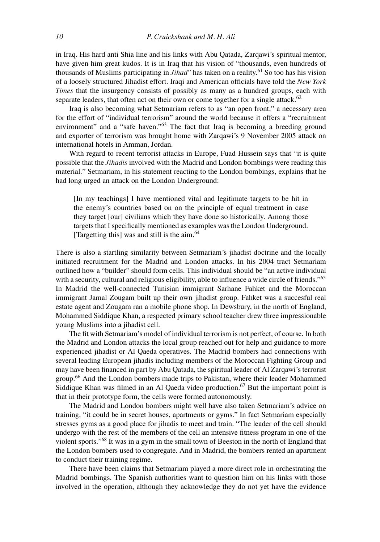in Iraq. His hard anti Shia line and his links with Abu Qatada, Zarqawi's spiritual mentor, have given him great kudos. It is in Iraq that his vision of "thousands, even hundreds of thousands of Muslims participating in *Jihad*" has taken on a reality.<sup>61</sup> So too has his vision of a loosely structured Jihadist effort. Iraqi and American officials have told the *New York Times* that the insurgency consists of possibly as many as a hundred groups, each with separate leaders, that often act on their own or come together for a single attack.<sup>62</sup>

Iraq is also becoming what Setmariam refers to as "an open front," a necessary area for the effort of "individual terrorism" around the world because it offers a "recruitment environment" and a "safe haven."<sup>63</sup> The fact that Iraq is becoming a breeding ground and exporter of terrorism was brought home with Zarqawi's 9 November 2005 attack on international hotels in Amman, Jordan.

With regard to recent terrorist attacks in Europe, Fuad Hussein says that "it is quite possible that the *Jihadis* involved with the Madrid and London bombings were reading this material." Setmariam, in his statement reacting to the London bombings, explains that he had long urged an attack on the London Underground:

[In my teachings] I have mentioned vital and legitimate targets to be hit in the enemy's countries based on on the principle of equal treatment in case they target [our] civilians which they have done so historically. Among those targets that I specifically mentioned as examples was the London Underground. [Targetting this] was and still is the aim.64

There is also a startling similarity between Setmariam's jihadist doctrine and the locally initiated recruitment for the Madrid and London attacks. In his 2004 tract Setmariam outlined how a "builder" should form cells. This individual should be "an active individual with a security, cultural and religious eligibility, able to influence a wide circle of friends."<sup>65</sup> In Madrid the well-connected Tunisian immigrant Sarhane Fahket and the Moroccan immigrant Jamal Zougam built up their own jihadist group. Fahket was a succesful real estate agent and Zougam ran a mobile phone shop. In Dewsbury, in the north of England, Mohammed Siddique Khan, a respected primary school teacher drew three impressionable young Muslims into a jihadist cell.

The fit with Setmariam's model of individual terrorism is not perfect, of course. In both the Madrid and London attacks the local group reached out for help and guidance to more experienced jihadist or Al Qaeda operatives. The Madrid bombers had connections with several leading European jihadis including members of the Moroccan Fighting Group and may have been financed in part by Abu Qatada, the spiritual leader of Al Zarqawi's terrorist group.<sup>66</sup> And the London bombers made trips to Pakistan, where their leader Mohammed Siddique Khan was filmed in an Al Qaeda video production.<sup>67</sup> But the important point is that in their prototype form, the cells were formed autonomously.

The Madrid and London bombers might well have also taken Setmariam's advice on training, "it could be in secret houses, apartments or gyms." In fact Setmariam especially stresses gyms as a good place for jihadis to meet and train. "The leader of the cell should undergo with the rest of the members of the cell an intensive fitness program in one of the violent sports."68 It was in a gym in the small town of Beeston in the north of England that the London bombers used to congregate. And in Madrid, the bombers rented an apartment to conduct their training regime.

There have been claims that Setmariam played a more direct role in orchestrating the Madrid bombings. The Spanish authorities want to question him on his links with those involved in the operation, although they acknowledge they do not yet have the evidence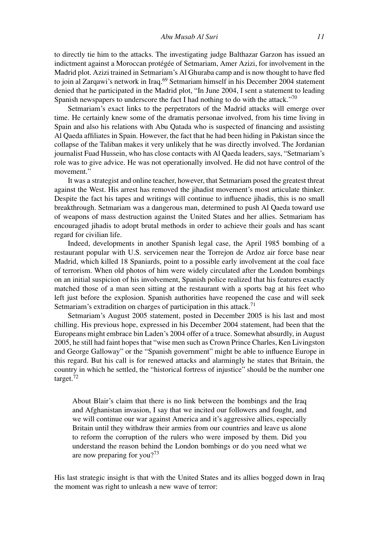to directly tie him to the attacks. The investigating judge Balthazar Garzon has issued an indictment against a Moroccan protégée of Setmariam, Amer Azizi, for involvement in the Madrid plot. Azizi trained in Setmariam's Al Ghuraba camp and is now thought to have fled to join al Zarqawi's network in Iraq.<sup>69</sup> Setmariam himself in his December 2004 statement denied that he participated in the Madrid plot, "In June 2004, I sent a statement to leading Spanish newspapers to underscore the fact I had nothing to do with the attack."<sup>70</sup>

Setmariam's exact links to the perpetrators of the Madrid attacks will emerge over time. He certainly knew some of the dramatis personae involved, from his time living in Spain and also his relations with Abu Qatada who is suspected of financing and assisting Al Qaeda affiliates in Spain. However, the fact that he had been hiding in Pakistan since the collapse of the Taliban makes it very unlikely that he was directly involved. The Jordanian journalist Fuad Hussein, who has close contacts with Al Qaeda leaders, says, "Setmariam's role was to give advice. He was not operationally involved. He did not have control of the movement<sup>"</sup>

It was a strategist and online teacher, however, that Setmariam posed the greatest threat against the West. His arrest has removed the jihadist movement's most articulate thinker. Despite the fact his tapes and writings will continue to influence jihadis, this is no small breakthrough. Setmariam was a dangerous man, determined to push Al Qaeda toward use of weapons of mass destruction against the United States and her allies. Setmariam has encouraged jihadis to adopt brutal methods in order to achieve their goals and has scant regard for civilian life.

Indeed, developments in another Spanish legal case, the April 1985 bombing of a restaurant popular with U.S. servicemen near the Torrejon de Ardoz air force base near Madrid, which killed 18 Spaniards, point to a possible early involvement at the coal face of terrorism. When old photos of him were widely circulated after the London bombings on an initial suspicion of his involvement, Spanish police realized that his features exactly matched those of a man seen sitting at the restaurant with a sports bag at his feet who left just before the explosion. Spanish authorities have reopened the case and will seek Setmariam's extradition on charges of participation in this attack.<sup>71</sup>

Setmariam's August 2005 statement, posted in December 2005 is his last and most chilling. His previous hope, expressed in his December 2004 statement, had been that the Europeans might embrace bin Laden's 2004 offer of a truce. Somewhat absurdly, in August 2005, he still had faint hopes that "wise men such as Crown Prince Charles, Ken Livingston and George Galloway" or the "Spanish government" might be able to influence Europe in this regard. But his call is for renewed attacks and alarmingly he states that Britain, the country in which he settled, the "historical fortress of injustice" should be the number one target.<sup>72</sup>

About Blair's claim that there is no link between the bombings and the Iraq and Afghanistan invasion, I say that we incited our followers and fought, and we will continue our war against America and it's aggressive allies, especially Britain until they withdraw their armies from our countries and leave us alone to reform the corruption of the rulers who were imposed by them. Did you understand the reason behind the London bombings or do you need what we are now preparing for you?<sup>73</sup>

His last strategic insight is that with the United States and its allies bogged down in Iraq the moment was right to unleash a new wave of terror: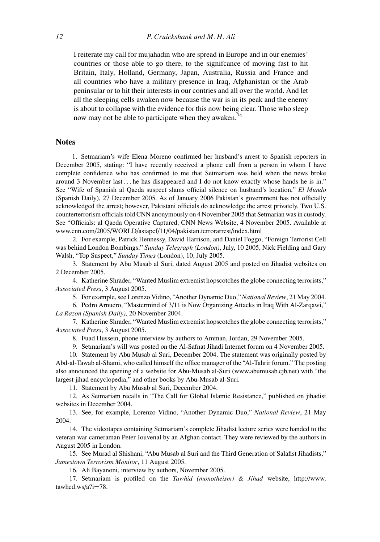I reiterate my call for mujahadin who are spread in Europe and in our enemies' countries or those able to go there, to the signifcance of moving fast to hit Britain, Italy, Holland, Germany, Japan, Australia, Russia and France and all countries who have a military presence in Iraq, Afghanistan or the Arab peninsular or to hit their interests in our contries and all over the world. And let all the sleeping cells awaken now because the war is in its peak and the enemy is about to collapse with the evidence for this now being clear. Those who sleep now may not be able to participate when they awaken.<sup>74</sup>

#### **Notes**

1. Setmariam's wife Elena Moreno confirmed her husband's arrest to Spanish reporters in December 2005, stating: "I have recently received a phone call from a person in whom I have complete confidence who has confirmed to me that Setmariam was held when the news broke around 3 November last *...* he has disappeared and I do not know exactly whose hands he is in." See "Wife of Spanish al Qaeda suspect slams official silence on husband's location," *El Mundo* (Spanish Daily), 27 December 2005. As of January 2006 Pakistan's government has not officially acknowledged the arrest; however, Pakistani officials do acknowledge the arrest privately. Two U.S. counterterrorism officials told CNN anonymously on 4 November 2005 that Setmarian was in custody. See "Officials: al Qaeda Operative Captured, CNN News Website, 4 November 2005. Available at www.cnn.com/2005/WORLD/asiapcf/11/04/pakistan.terrorarrest/index.html

2. For example, Patrick Hennessy, David Harrison, and Daniel Foggo, "Foreign Terrorist Cell was behind London Bombings," *Sunday Telegraph (London)*, July, 10 2005, Nick Fielding and Gary Walsh, "Top Suspect," *Sunday Times* (London), 10, July 2005.

3. Statement by Abu Musab al Suri, dated August 2005 and posted on Jihadist websites on 2 December 2005.

4. Katherine Shrader, "Wanted Muslim extremist hopscotches the globe connecting terrorists," *Associated Press*, 3 August 2005.

5. For example, see Lorenzo Vidino, "Another Dynamic Duo," *National Review*, 21 May 2004.

6. Pedro Arnuero, "Mastermind of 3/11 is Now Organizing Attacks in Iraq With Al-Zarqawi," *La Razon (Spanish Daily),* 20 November 2004.

7. Katherine Shrader, "Wanted Muslim extremist hopscotches the globe connecting terrorists," *Associated Press*, 3 August 2005.

8. Fuad Hussein, phone interview by authors to Amman, Jordan, 29 November 2005.

9. Setmariam's will was posted on the Al-Safnat Jihadi Internet forum on 4 November 2005.

10. Statement by Abu Musab al Suri, December 2004. The statement was originally posted by Abd-al-Tawab al-Shami, who called himself the office manager of the "Al-Tahrir forum." The posting also announced the opening of a website for Abu-Musab al-Suri (www.abumusab.cjb.net) with "the largest jihad encyclopedia," and other books by Abu-Musab al-Suri.

11. Statement by Abu Musab al Suri, December 2004.

12. As Setmariam recalls in "The Call for Global Islamic Resistance," published on jihadist websites in December 2004.

13. See, for example, Lorenzo Vidino, "Another Dynamic Duo," *National Review*, 21 May 2004.

14. The videotapes containing Setmariam's complete Jihadist lecture series were handed to the veteran war cameraman Peter Jouvenal by an Afghan contact. They were reviewed by the authors in August 2005 in London.

15. See Murad al Shishani, "Abu Musab al Suri and the Third Generation of Salafist Jihadists," *Jamestown Terrorism Monitor*, 11 August 2005.

16. Ali Bayanoni, interview by authors, November 2005.

17. Setmariam is profiled on the *Tawhid (monotheism) & Jihad* website, http://www. tawhed.ws/a?i=78.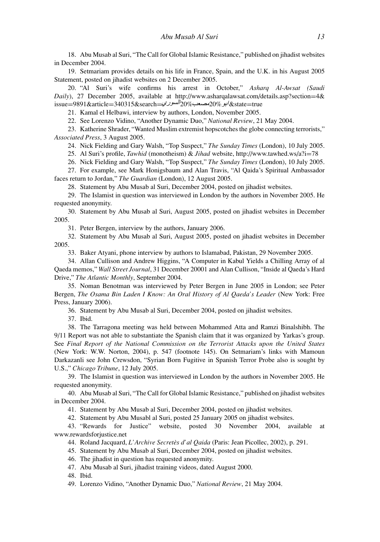18. Abu Musab al Suri, "The Call for Global Islamic Resistance," published on jihadist websites in December 2004.

19. Setmariam provides details on his life in France, Spain, and the U.K. in his August 2005 Statement, posted on jihadist websites on 2 December 2005.

20. "Al Suri's wife confirms his arrest in October," *Asharq Al-Awsat (Saudi Daily*), 27 December 2005, available at http://www.asharqalawsat.com/details.asp?section=4& issue=9891&article=340315&search= 20% 20% &state=true

21. Kamal el Helbawi, interview by authors, London, November 2005.

22. See Lorenzo Vidino, "Another Dynamic Duo," *National Review*, 21 May 2004.

23. Katherine Shrader, "Wanted Muslim extremist hopscotches the globe connecting terrorists," *Associated Press*, 3 August 2005.

24. Nick Fielding and Gary Walsh, "Top Suspect," *The Sunday Times* (London), 10 July 2005.

25. Al Suri's profile, *Tawhid* (monotheism) & *Jihad* website, http://www.tawhed.ws/a?i=78

26. Nick Fielding and Gary Walsh, "Top Suspect," *The Sunday Times* (London), 10 July 2005.

27. For example, see Mark Honigsbaum and Alan Travis, "Al Qaida's Spiritual Ambassador faces return to Jordan," *The Guardian* (London), 12 August 2005.

28. Statement by Abu Musab al Suri, December 2004, posted on jihadist websites.

29. The Islamist in question was interviewed in London by the authors in November 2005. He requested anonymity.

30. Statement by Abu Musab al Suri, August 2005, posted on jihadist websites in December 2005.

31. Peter Bergen, interview by the authors, January 2006.

32. Statement by Abu Musab al Suri, August 2005, posted on jihadist websites in December 2005.

33. Baker Atyani, phone interview by authors to Islamabad, Pakistan, 29 November 2005.

34. Allan Cullison and Andrew Higgins, "A Computer in Kabul Yields a Chilling Array of al Qaeda memos," *Wall Street Journal*, 31 December 20001 and Alan Cullison, "Inside al Qaeda's Hard Drive," *The Atlantic Monthly*, September 2004.

35. Noman Benotman was interviewed by Peter Bergen in June 2005 in London; see Peter Bergen, *The Osama Bin Laden I Know: An Oral History of Al Qaeda's Leader* (New York: Free Press, January 2006).

36. Statement by Abu Musab al Suri, December 2004, posted on jihadist websites.

37. Ibid.

38. The Tarragona meeting was held between Mohammed Atta and Ramzi Binalshibh. The 9/11 Report was not able to substantiate the Spanish claim that it was organized by Yarkas's group. See *Final Report of the National Commission on the Terrorist Attacks upon the United States* (New York: W.W. Norton, 2004), p. 547 (footnote 145). On Setmariam's links with Mamoun Darkazanli see John Crewsdon, "Syrian Born Fugitive in Spanish Terror Probe also is sought by U.S.," *Chicago Tribune*, 12 July 2005.

39. The Islamist in question was interviewed in London by the authors in November 2005. He requested anonymity.

40. Abu Musab al Suri, "The Call for Global Islamic Resistance," published on jihadist websites in December 2004.

41. Statement by Abu Musab al Suri, December 2004, posted on jihadist websites.

42. Statement by Abu Musabl al Suri, posted 25 January 2005 on jihadist websites.

43. "Rewards for Justice" website, posted 30 November 2004, available at www.rewardsforjustice.net

44. Roland Jacquard, *L'Archive Secretès d'al Qaida* (Paris: Jean Picollec, 2002), p. 291.

45. Statement by Abu Musab al Suri, December 2004, posted on jihadist websites.

46. The jihadist in question has requested anonymity.

47. Abu Musab al Suri, jihadist training videos, dated August 2000.

48. Ibid.

49. Lorenzo Vidino, "Another Dynamic Duo," *National Review*, 21 May 2004.